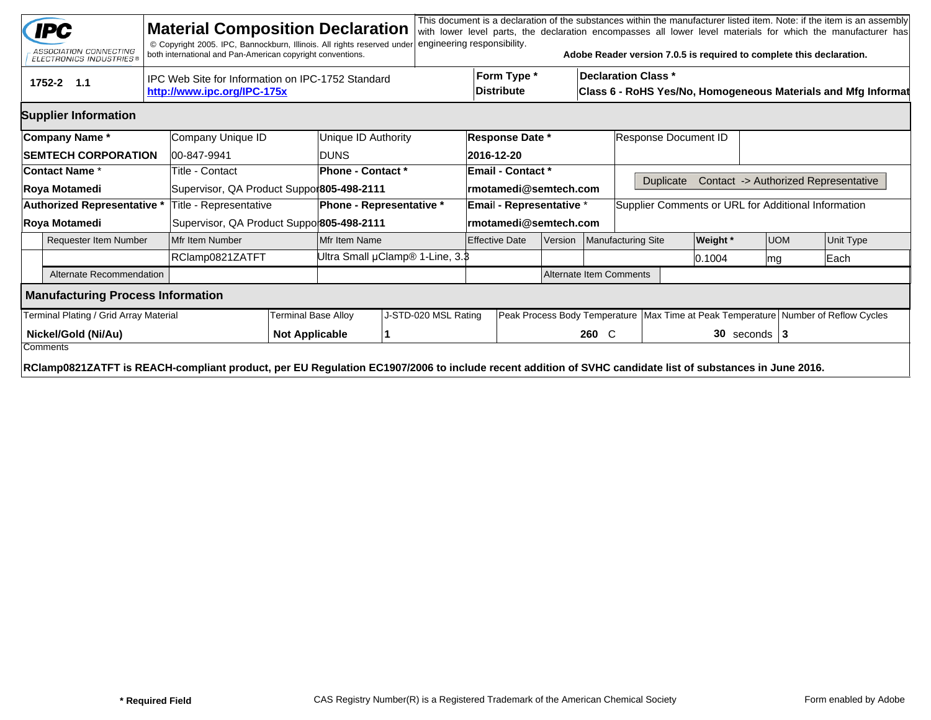|                                        | <b>IPC</b><br>ASSOCIATION CONNECTING<br><b>ELECTRONICS INDUSTRIES®</b>                                                                                  |                 | <b>Material Composition Declaration</b><br>© Copyright 2005. IPC, Bannockburn, Illinois. All rights reserved under<br>both international and Pan-American copyright conventions. |                       |                                 | engineering responsibility.     |                                  |                          |                    |                      | Adobe Reader version 7.0.5 is required to complete this declaration.                        |                   |                                                                                        |                                      | This document is a declaration of the substances within the manufacturer listed item. Note: if the item is an assembly<br>with lower level parts, the declaration encompasses all lower level materials for which the manufacturer has |  |  |  |
|----------------------------------------|---------------------------------------------------------------------------------------------------------------------------------------------------------|-----------------|----------------------------------------------------------------------------------------------------------------------------------------------------------------------------------|-----------------------|---------------------------------|---------------------------------|----------------------------------|--------------------------|--------------------|----------------------|---------------------------------------------------------------------------------------------|-------------------|----------------------------------------------------------------------------------------|--------------------------------------|----------------------------------------------------------------------------------------------------------------------------------------------------------------------------------------------------------------------------------------|--|--|--|
|                                        | 1752-2 1.1                                                                                                                                              |                 | IPC Web Site for Information on IPC-1752 Standard<br>http://www.ipc.org/IPC-175x                                                                                                 |                       |                                 |                                 | Form Type *<br><b>Distribute</b> |                          |                    |                      | <b>Declaration Class *</b><br>Class 6 - RoHS Yes/No, Homogeneous Materials and Mfg Informat |                   |                                                                                        |                                      |                                                                                                                                                                                                                                        |  |  |  |
|                                        | <b>Supplier Information</b>                                                                                                                             |                 |                                                                                                                                                                                  |                       |                                 |                                 |                                  |                          |                    |                      |                                                                                             |                   |                                                                                        |                                      |                                                                                                                                                                                                                                        |  |  |  |
|                                        | Company Name*                                                                                                                                           |                 | Company Unique ID                                                                                                                                                                |                       | Unique ID Authority             | <b>Response Date *</b>          |                                  |                          |                    | Response Document ID |                                                                                             |                   |                                                                                        |                                      |                                                                                                                                                                                                                                        |  |  |  |
|                                        | <b>SEMTECH CORPORATION</b>                                                                                                                              |                 | 00-847-9941                                                                                                                                                                      |                       | <b>DUNS</b>                     |                                 |                                  | 2016-12-20               |                    |                      |                                                                                             |                   |                                                                                        |                                      |                                                                                                                                                                                                                                        |  |  |  |
|                                        | <b>Contact Name *</b>                                                                                                                                   |                 | Title - Contact                                                                                                                                                                  |                       | Phone - Contact *               |                                 |                                  | <b>Email - Contact *</b> |                    |                      |                                                                                             |                   |                                                                                        |                                      |                                                                                                                                                                                                                                        |  |  |  |
| Roya Motamedi                          |                                                                                                                                                         |                 | Supervisor, QA Product Suppor805-498-2111                                                                                                                                        |                       |                                 | rmotamedi@semtech.com           |                                  |                          |                    | <b>Duplicate</b>     |                                                                                             |                   |                                                                                        | Contact -> Authorized Representative |                                                                                                                                                                                                                                        |  |  |  |
| Authorized Representative *            |                                                                                                                                                         |                 | Title - Representative                                                                                                                                                           |                       | <b>Phone - Representative *</b> |                                 | <b>Email - Representative *</b>  |                          |                    |                      | Supplier Comments or URL for Additional Information                                         |                   |                                                                                        |                                      |                                                                                                                                                                                                                                        |  |  |  |
| Roya Motamedi                          |                                                                                                                                                         |                 | Supervisor, QA Product Suppo 805-498-2111                                                                                                                                        |                       | rmotamedi@semtech.com           |                                 |                                  |                          |                    |                      |                                                                                             |                   |                                                                                        |                                      |                                                                                                                                                                                                                                        |  |  |  |
| <b>Requester Item Number</b>           |                                                                                                                                                         |                 | Mfr Item Number                                                                                                                                                                  |                       | Mfr Item Name                   | <b>Effective Date</b>           |                                  | Version                  | Manufacturing Site |                      | <b>Weight</b> *                                                                             | <b>UOM</b>        |                                                                                        | Unit Type                            |                                                                                                                                                                                                                                        |  |  |  |
|                                        |                                                                                                                                                         | RClamp0821ZATFT |                                                                                                                                                                                  |                       |                                 | Ultra Small µClamp® 1-Line, 3.8 |                                  |                          |                    |                      |                                                                                             | 0.1004            |                                                                                        | mg                                   | Each                                                                                                                                                                                                                                   |  |  |  |
|                                        | Alternate Recommendation                                                                                                                                |                 |                                                                                                                                                                                  |                       |                                 | <b>Alternate Item Comments</b>  |                                  |                          |                    |                      |                                                                                             |                   |                                                                                        |                                      |                                                                                                                                                                                                                                        |  |  |  |
|                                        | <b>Manufacturing Process Information</b>                                                                                                                |                 |                                                                                                                                                                                  |                       |                                 |                                 |                                  |                          |                    |                      |                                                                                             |                   |                                                                                        |                                      |                                                                                                                                                                                                                                        |  |  |  |
| Terminal Plating / Grid Array Material |                                                                                                                                                         |                 |                                                                                                                                                                                  |                       | <b>Terminal Base Alloy</b>      | J-STD-020 MSL Rating            |                                  |                          |                    |                      |                                                                                             |                   | Peak Process Body Temperature   Max Time at Peak Temperature   Number of Reflow Cycles |                                      |                                                                                                                                                                                                                                        |  |  |  |
| Nickel/Gold (Ni/Au)<br>Comments        |                                                                                                                                                         |                 |                                                                                                                                                                                  | <b>Not Applicable</b> |                                 |                                 |                                  |                          |                    | $260 \quad C$        |                                                                                             | $30$ seconds $ 3$ |                                                                                        |                                      |                                                                                                                                                                                                                                        |  |  |  |
|                                        | RClamp0821ZATFT is REACH-compliant product, per EU Regulation EC1907/2006 to include recent addition of SVHC candidate list of substances in June 2016. |                 |                                                                                                                                                                                  |                       |                                 |                                 |                                  |                          |                    |                      |                                                                                             |                   |                                                                                        |                                      |                                                                                                                                                                                                                                        |  |  |  |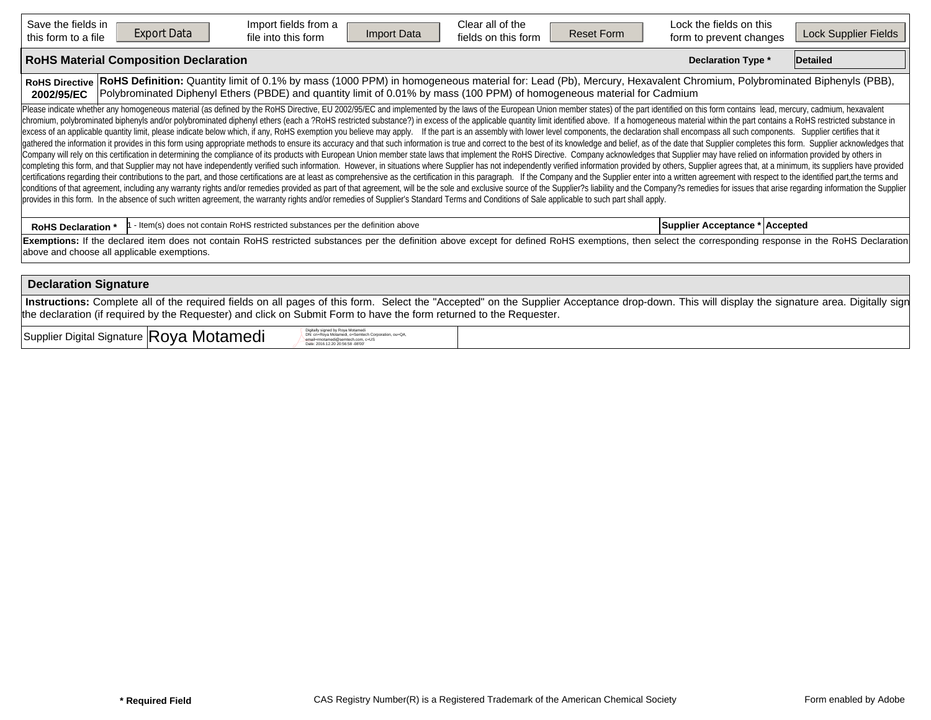| Save the fields in<br><b>Export Data</b><br>this form to a file | Import fields from a<br>Import Data<br>file into this form                                                                                                                                                                                                                                                                                                                                                                                                                                                                                                                                                                                                                                                                                                                                                                                                                                                                                                                                                                                                                                                                                                                                                                                                                                                                                                                                                                                                                                                                                                                                                                                                                                                                                                                                                                                                                                                                                                                                                                                                                  | Clear all of the<br>fields on this form | <b>Reset Form</b> | Lock the fields on this<br>form to prevent changes | Lock Supplier Fields |
|-----------------------------------------------------------------|-----------------------------------------------------------------------------------------------------------------------------------------------------------------------------------------------------------------------------------------------------------------------------------------------------------------------------------------------------------------------------------------------------------------------------------------------------------------------------------------------------------------------------------------------------------------------------------------------------------------------------------------------------------------------------------------------------------------------------------------------------------------------------------------------------------------------------------------------------------------------------------------------------------------------------------------------------------------------------------------------------------------------------------------------------------------------------------------------------------------------------------------------------------------------------------------------------------------------------------------------------------------------------------------------------------------------------------------------------------------------------------------------------------------------------------------------------------------------------------------------------------------------------------------------------------------------------------------------------------------------------------------------------------------------------------------------------------------------------------------------------------------------------------------------------------------------------------------------------------------------------------------------------------------------------------------------------------------------------------------------------------------------------------------------------------------------------|-----------------------------------------|-------------------|----------------------------------------------------|----------------------|
| <b>RoHS Material Composition Declaration</b>                    |                                                                                                                                                                                                                                                                                                                                                                                                                                                                                                                                                                                                                                                                                                                                                                                                                                                                                                                                                                                                                                                                                                                                                                                                                                                                                                                                                                                                                                                                                                                                                                                                                                                                                                                                                                                                                                                                                                                                                                                                                                                                             |                                         |                   | <b>Declaration Type *</b>                          | Detailed             |
| <b>RoHS Directive</b><br>2002/95/EC                             | RoHS Definition: Quantity limit of 0.1% by mass (1000 PPM) in homogeneous material for: Lead (Pb), Mercury, Hexavalent Chromium, Polybrominated Biphenyls (PBB),<br>Polybrominated Diphenyl Ethers (PBDE) and quantity limit of 0.01% by mass (100 PPM) of homogeneous material for Cadmium                                                                                                                                                                                                                                                                                                                                                                                                                                                                                                                                                                                                                                                                                                                                                                                                                                                                                                                                                                                                                                                                                                                                                                                                                                                                                                                                                                                                                                                                                                                                                                                                                                                                                                                                                                                 |                                         |                   |                                                    |                      |
|                                                                 | Please indicate whether any homogeneous material (as defined by the RoHS Directive, EU 2002/95/EC and implemented by the laws of the European Union member states) of the part identified on this form contains lead, mercury,<br>chromium, polybrominated biphenyls and/or polybrominated diphenyl ethers (each a ?RoHS restricted substance?) in excess of the applicable quantity limit identified above. If a homogeneous material within the part contains<br>excess of an applicable quantity limit, please indicate below which, if any, RoHS exemption you believe may apply. If the part is an assembly with lower level components, the declaration shall encompass all such components<br>gathered the information it provides in this form using appropriate methods to ensure its accuracy and that such information is true and correct to the best of its knowledge and belief, as of the date that Supplier complet<br>Company will rely on this certification in determining the compliance of its products with European Union member state laws that implement the RoHS Directive. Company acknowledges that Supplier may have relied on informati<br>completing this form, and that Supplier may not have independently verified such information. However, in situations where Supplier has not independently verified information provided by others, Supplier agrees that, at a<br>certifications regarding their contributions to the part, and those certifications are at least as comprehensive as the certification in this paragraph. If the Company and the Supplier enter into a written agreement with r<br>conditions of that agreement, including any warranty rights and/or remedies provided as part of that agreement, will be the sole and exclusive source of the Supplier?s liability and the Company?s remedies for issues that a<br>provides in this form. In the absence of such written agreement, the warranty rights and/or remedies of Supplier's Standard Terms and Conditions of Sale applicable to such part shall apply. |                                         |                   |                                                    |                      |
| <b>RoHS Declaration *</b>                                       | - Item(s) does not contain RoHS restricted substances per the definition above                                                                                                                                                                                                                                                                                                                                                                                                                                                                                                                                                                                                                                                                                                                                                                                                                                                                                                                                                                                                                                                                                                                                                                                                                                                                                                                                                                                                                                                                                                                                                                                                                                                                                                                                                                                                                                                                                                                                                                                              |                                         |                   | Supplier Acceptance * Accepted                     |                      |
| above and choose all applicable exemptions.                     | Exemptions: If the declared item does not contain RoHS restricted substances per the definition above except for defined RoHS exemptions, then select the corresponding response in the RoHS Declaration                                                                                                                                                                                                                                                                                                                                                                                                                                                                                                                                                                                                                                                                                                                                                                                                                                                                                                                                                                                                                                                                                                                                                                                                                                                                                                                                                                                                                                                                                                                                                                                                                                                                                                                                                                                                                                                                    |                                         |                   |                                                    |                      |
| <b>Declaration Signature</b>                                    |                                                                                                                                                                                                                                                                                                                                                                                                                                                                                                                                                                                                                                                                                                                                                                                                                                                                                                                                                                                                                                                                                                                                                                                                                                                                                                                                                                                                                                                                                                                                                                                                                                                                                                                                                                                                                                                                                                                                                                                                                                                                             |                                         |                   |                                                    |                      |
|                                                                 | Instructions: Complete all of the required fields on all pages of this form. Select the "Accepted" on the Supplier Acceptance drop-down. This will display the signature area. Digitally sign                                                                                                                                                                                                                                                                                                                                                                                                                                                                                                                                                                                                                                                                                                                                                                                                                                                                                                                                                                                                                                                                                                                                                                                                                                                                                                                                                                                                                                                                                                                                                                                                                                                                                                                                                                                                                                                                               |                                         |                   |                                                    |                      |

Supplier Digital Signature Royal Motamedi Digital Signature Royal Redistribution Digital Digital Signature Royal Redistribution Digital Redistribution Digital Redistribution Digital Redistribution Digital Redistribution Di

DN: cn=Roya Motamedi, o=Semtech Corporation, ou=QA, email=rmotamedi@semtech.com, c=US Date: 2016.12.20 20:56:58 -08'00'

the declaration (if required by the Requester) and click on Submit Form to have the form returned to the Requester.